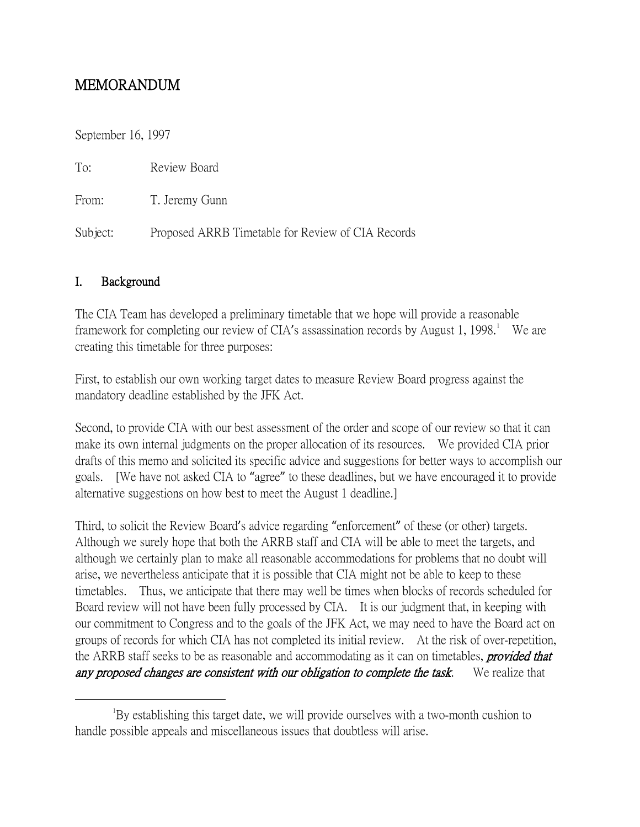# MEMORANDUM

September 16, 1997

| To:      | Review Board                                      |
|----------|---------------------------------------------------|
| From:    | T. Jeremy Gunn                                    |
| Subject: | Proposed ARRB Timetable for Review of CIA Records |

### I. Background

The CIA Team has developed a preliminary timetable that we hope will provide a reasonable framework for completing our review of CIA's assassination records by August [1](#page-0-0), 1998.<sup>1</sup> We are creating this timetable for three purposes:

First, to establish our own working target dates to measure Review Board progress against the mandatory deadline established by the JFK Act.

Second, to provide CIA with our best assessment of the order and scope of our review so that it can make its own internal judgments on the proper allocation of its resources. We provided CIA prior drafts of this memo and solicited its specific advice and suggestions for better ways to accomplish our goals. [We have not asked CIA to "agree" to these deadlines, but we have encouraged it to provide alternative suggestions on how best to meet the August 1 deadline.]

Third, to solicit the Review Board's advice regarding "enforcement" of these (or other) targets. Although we surely hope that both the ARRB staff and CIA will be able to meet the targets, and although we certainly plan to make all reasonable accommodations for problems that no doubt will arise, we nevertheless anticipate that it is possible that CIA might not be able to keep to these timetables. Thus, we anticipate that there may well be times when blocks of records scheduled for Board review will not have been fully processed by CIA. It is our judgment that, in keeping with our commitment to Congress and to the goals of the JFK Act, we may need to have the Board act on groups of records for which CIA has not completed its initial review. At the risk of over-repetition, the ARRB staff seeks to be as reasonable and accommodating as it can on timetables, **provided that** any proposed changes are consistent with our obligation to complete the task. We realize that

<span id="page-0-0"></span> $\overline{\phantom{a}}$ By establishing this target date, we will provide ourselves with a two-month cushion to handle possible appeals and miscellaneous issues that doubtless will arise.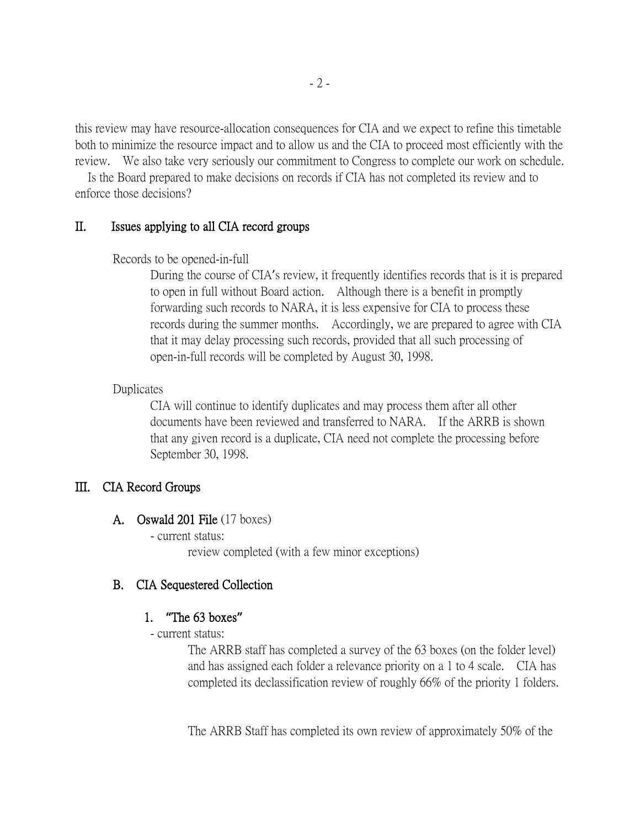this review may have resource-allocation consequences for CIA and we expect to refine this timetable both to minimize the resource impact and to allow us and the CIA to proceed most efficiently with the review. We also take very seriously our commitment to Congress to complete our work on schedule.

 Is the Board prepared to make decisions on records if CIA has not completed its review and to enforce those decisions?

#### II. Issues applying to all CIA record groups

Records to be opened-in-full

During the course of CIA's review, it frequently identifies records that is it is prepared to open in full without Board action. Although there is a benefit in promptly forwarding such records to NARA, it is less expensive for CIA to process these records during the summer months. Accordingly, we are prepared to agree with CIA that it may delay processing such records, provided that all such processing of open-in-full records will be completed by August 30, 1998.

#### Duplicates

CIA will continue to identify duplicates and may process them after all other documents have been reviewed and transferred to NARA. If the ARRB is shown that any given record is a duplicate, CIA need not complete the processing before September 30, 1998.

#### III. CIA Record Groups

- A. Oswald 201 File (17 boxes)
	- current status:

review completed (with a few minor exceptions)

#### B. CIA Sequestered Collection

#### 1. **"**The 63 boxes**"**

- current status:

The ARRB staff has completed a survey of the 63 boxes (on the folder level) and has assigned each folder a relevance priority on a 1 to 4 scale. CIA has completed its declassification review of roughly 66% of the priority 1 folders.

The ARRB Staff has completed its own review of approximately 50% of the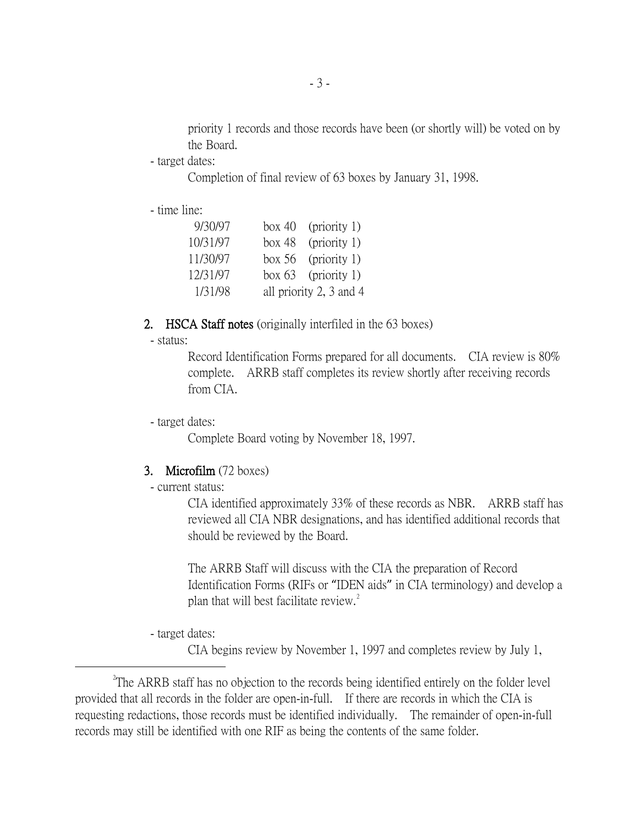priority 1 records and those records have been (or shortly will) be voted on by the Board.

- target dates:

Completion of final review of 63 boxes by January 31, 1998.

- time line:

| 9/30/97  | box 40 (priority 1)     |
|----------|-------------------------|
| 10/31/97 | box 48 (priority 1)     |
| 11/30/97 | box $56$ (priority 1)   |
| 12/31/97 | box $63$ (priority 1)   |
| 1/31/98  | all priority 2, 3 and 4 |

#### 2. HSCA Staff notes (originally interfiled in the 63 boxes)

- status:

Record Identification Forms prepared for all documents. CIA review is 80% complete. ARRB staff completes its review shortly after receiving records from CIA.

- target dates:

Complete Board voting by November 18, 1997.

#### 3. Microfilm (72 boxes)

- current status:

CIA identified approximately 33% of these records as NBR. ARRB staff has reviewed all CIA NBR designations, and has identified additional records that should be reviewed by the Board.

The ARRB Staff will discuss with the CIA the preparation of Record Identification Forms (RIFs or "IDEN aids" in CIA terminology) and develop a plan that will best facilitate review.<sup>[2](#page-2-0)</sup>

- target dates:

CIA begins review by November 1, 1997 and completes review by July 1,

<span id="page-2-0"></span> $\overline{\phantom{a}}$   $\overline{\phantom{a}}$   $\overline{\phantom{a}}$   $\overline{\phantom{a}}$  $^{2}$ The ARRB staff has no objection to the records being identified entirely on the folder level provided that all records in the folder are open-in-full. If there are records in which the CIA is requesting redactions, those records must be identified individually. The remainder of open-in-full records may still be identified with one RIF as being the contents of the same folder.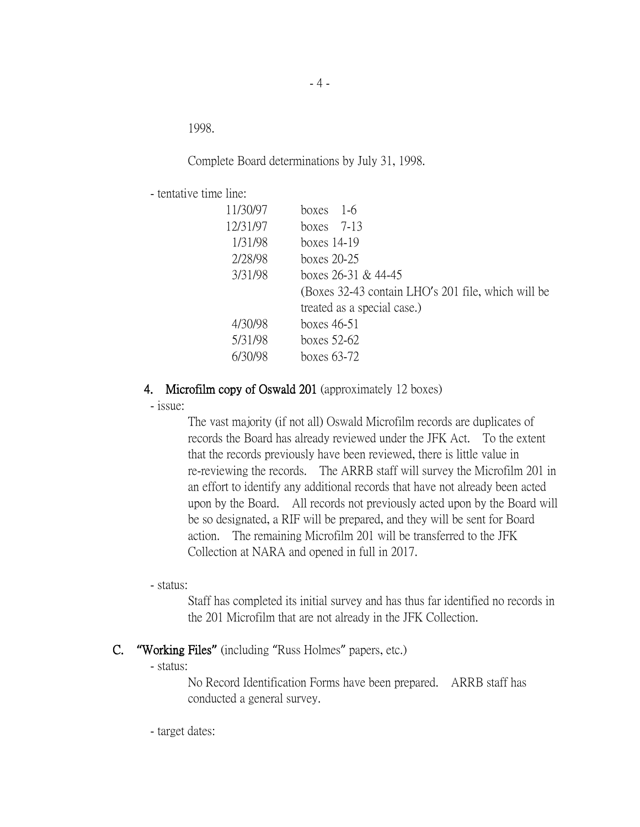1998.

Complete Board determinations by July 31, 1998.

- tentative time line:

| 11/30/97 | $1-6$<br>boxes                                     |
|----------|----------------------------------------------------|
| 12/31/97 | boxes $7-13$                                       |
| 1/31/98  | boxes $14-19$                                      |
| 2/28/98  | boxes 20-25                                        |
| 3/31/98  | boxes $26-31$ & 44-45                              |
|          | (Boxes 32-43 contain LHO's 201 file, which will be |
|          | treated as a special case.)                        |
| 4/30/98  | boxes 46-51                                        |
| 5/31/98  | boxes 52-62                                        |
|          | boxes 63-72                                        |

#### 4. Microfilm copy of Oswald 201 (approximately 12 boxes)

- issue:

The vast majority (if not all) Oswald Microfilm records are duplicates of records the Board has already reviewed under the JFK Act. To the extent that the records previously have been reviewed, there is little value in re-reviewing the records. The ARRB staff will survey the Microfilm 201 in an effort to identify any additional records that have not already been acted upon by the Board. All records not previously acted upon by the Board will be so designated, a RIF will be prepared, and they will be sent for Board action. The remaining Microfilm 201 will be transferred to the JFK Collection at NARA and opened in full in 2017.

- status:

Staff has completed its initial survey and has thus far identified no records in the 201 Microfilm that are not already in the JFK Collection.

#### C. **"**Working Files**"** (including "Russ Holmes" papers, etc.)

- status:

No Record Identification Forms have been prepared. ARRB staff has conducted a general survey.

- target dates: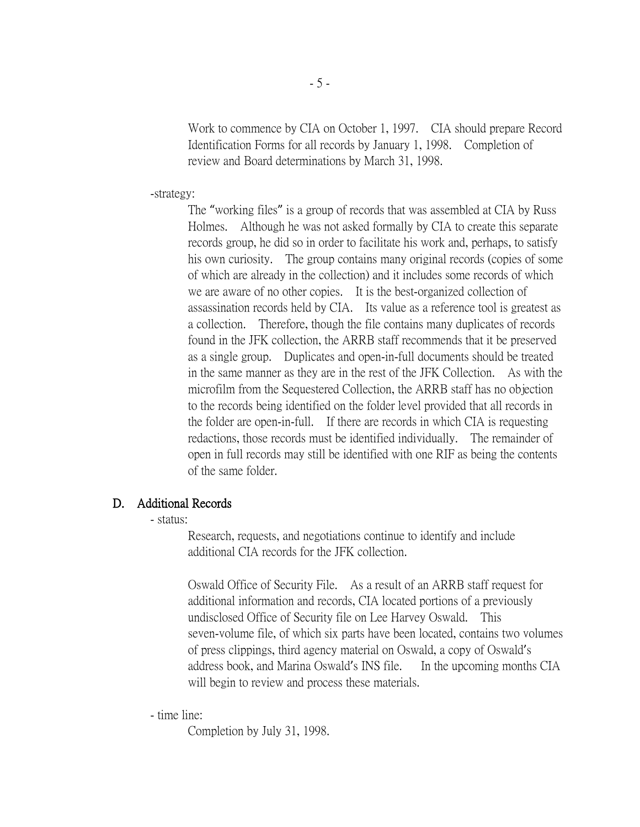Work to commence by CIA on October 1, 1997. CIA should prepare Record Identification Forms for all records by January 1, 1998. Completion of review and Board determinations by March 31, 1998.

-strategy:

The "working files" is a group of records that was assembled at CIA by Russ Holmes. Although he was not asked formally by CIA to create this separate records group, he did so in order to facilitate his work and, perhaps, to satisfy his own curiosity. The group contains many original records (copies of some of which are already in the collection) and it includes some records of which we are aware of no other copies. It is the best-organized collection of assassination records held by CIA. Its value as a reference tool is greatest as a collection. Therefore, though the file contains many duplicates of records found in the JFK collection, the ARRB staff recommends that it be preserved as a single group. Duplicates and open-in-full documents should be treated in the same manner as they are in the rest of the JFK Collection. As with the microfilm from the Sequestered Collection, the ARRB staff has no objection to the records being identified on the folder level provided that all records in the folder are open-in-full. If there are records in which CIA is requesting redactions, those records must be identified individually. The remainder of open in full records may still be identified with one RIF as being the contents of the same folder.

#### D. Additional Records

- status:

Research, requests, and negotiations continue to identify and include additional CIA records for the JFK collection.

Oswald Office of Security File. As a result of an ARRB staff request for additional information and records, CIA located portions of a previously undisclosed Office of Security file on Lee Harvey Oswald. This seven-volume file, of which six parts have been located, contains two volumes of press clippings, third agency material on Oswald, a copy of Oswald's address book, and Marina Oswald's INS file. In the upcoming months CIA will begin to review and process these materials.

- time line:

Completion by July 31, 1998.